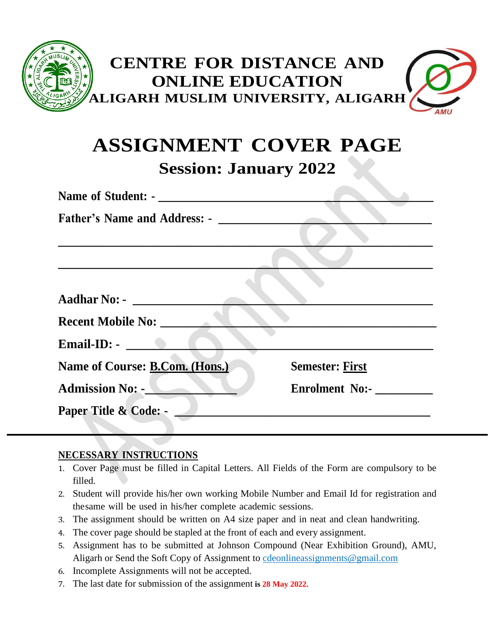

# **ASSIGNMENT COVER PAGE**

**Session: January 2022**

| Name of Student: -                                                                                                                                                                                                            |                        |
|-------------------------------------------------------------------------------------------------------------------------------------------------------------------------------------------------------------------------------|------------------------|
| <b>Father's Name and Address: -</b>                                                                                                                                                                                           |                        |
|                                                                                                                                                                                                                               |                        |
|                                                                                                                                                                                                                               |                        |
|                                                                                                                                                                                                                               |                        |
| <b>Aadhar No: -</b>                                                                                                                                                                                                           |                        |
| <b>Recent Mobile No:</b>                                                                                                                                                                                                      |                        |
| Email-ID: And The Contract of the Contract of the Contract of the Contract of the Contract of the Contract of the Contract of the Contract of the Contract of the Contract of the Contract of the Contract of the Contract of |                        |
| Name of Course: B.Com. (Hons.)                                                                                                                                                                                                | <b>Semester: First</b> |
| <b>Admission No: -</b>                                                                                                                                                                                                        | <b>Enrolment No:-</b>  |
| Paper Title & Code: -                                                                                                                                                                                                         |                        |
|                                                                                                                                                                                                                               |                        |

# **NECESSARY INSTRUCTIONS**

- 1. Cover Page must be filled in Capital Letters. All Fields of the Form are compulsory to be filled.
- 2. Student will provide his/her own working Mobile Number and Email Id for registration and thesame will be used in his/her complete academic sessions.
- 3. The assignment should be written on A4 size paper and in neat and clean handwriting.
- 4. The cover page should be stapled at the front of each and every assignment.
- 5. Assignment has to be submitted at Johnson Compound (Near Exhibition Ground), AMU, Aligarh or Send the Soft Copy of Assignment to [cdeonlineassignments@gmail.com](mailto:cdeonlineassignments@gmail.com)
- 6. Incomplete Assignments will not be accepted.
- 7. The last date for submission of the assignment **is 28 May 2022.**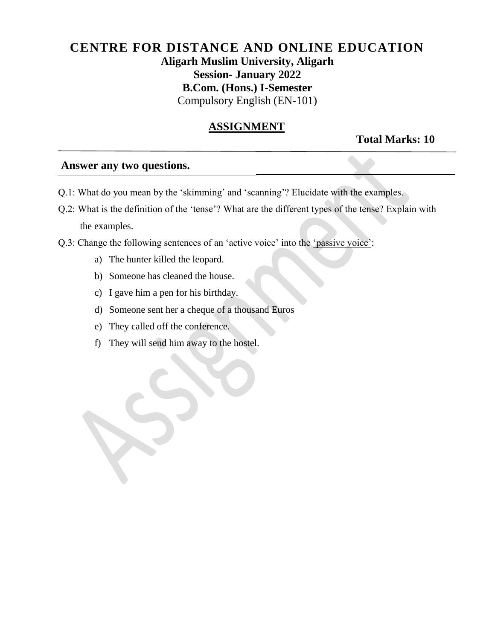# **CENTRE FOR DISTANCE AND ONLINE EDUCATION Aligarh Muslim University, Aligarh Session- January 2022 B.Com. (Hons.) I-Semester** Compulsory English (EN-101)

#### **ASSIGNMENT**

**Total Marks: 10** 

#### **Answer any two questions.**

- Q.1: What do you mean by the 'skimming' and 'scanning'? Elucidate with the examples.
- Q.2: What is the definition of the 'tense'? What are the different types of the tense? Explain with the examples.
- Q.3: Change the following sentences of an 'active voice' into the 'passive voice':
	- a) The hunter killed the leopard.
	- b) Someone has cleaned the house.
	- c) I gave him a pen for his birthday.
	- d) Someone sent her a cheque of a thousand Euros
	- e) They called off the conference.
	- f) They will send him away to the hostel.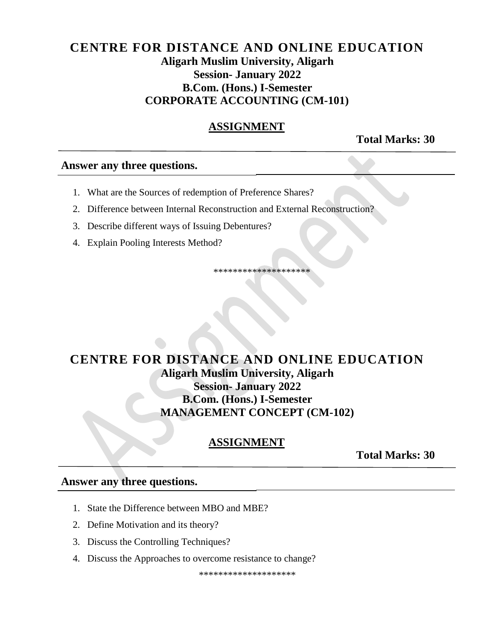# **CENTRE FOR DISTANCE AND ONLINE EDUCATION Aligarh Muslim University, Aligarh Session- January 2022 B.Com. (Hons.) I-Semester CORPORATE ACCOUNTING (CM-101)**

## **ASSIGNMENT**

**Total Marks: 30**

#### **Answer any three questions.**

- 1. What are the Sources of redemption of Preference Shares?
- 2. Difference between Internal Reconstruction and External Reconstruction?
- 3. Describe different ways of Issuing Debentures?
- 4. Explain Pooling Interests Method?

\*\*\*\*\*\*\*\*\*\*\*\*\*\*\*\*\*\*\*\*

# **CENTRE FOR DISTANCE AND ONLINE EDUCATION Aligarh Muslim University, Aligarh Session- January 2022 B.Com. (Hons.) I-Semester MANAGEMENT CONCEPT (CM-102)**

# **ASSIGNMENT**

**Total Marks: 30**

#### **Answer any three questions.**

- 1. State the Difference between MBO and MBE?
- 2. Define Motivation and its theory?
- 3. Discuss the Controlling Techniques?
- 4. Discuss the Approaches to overcome resistance to change?

\*\*\*\*\*\*\*\*\*\*\*\*\*\*\*\*\*\*\*\*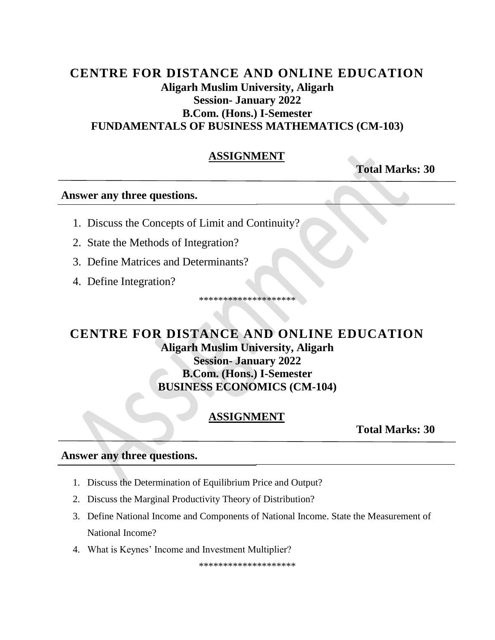# CENTRE FOR DISTANCE AND ONLINE EDUCATION **Aligarh Muslim University, Aligarh Session- January 2022 B.Com.** (Hons.) I-Semester **FUNDAMENTALS OF BUSINESS MATHEMATICS (CM-103)**

### **ASSIGNMENT**

**Total Marks: 30** 

#### Answer any three questions.

- 1. Discuss the Concepts of Limit and Continuity?
- 2. State the Methods of Integration?
- 3. Define Matrices and Determinants?
- 4. Define Integration?

\*\*\*\*\*\*\*\*\*\*\*\*\*\*\*\*\*\*

# **CENTRE FOR DISTANCE AND ONLINE EDUCATION Aligarh Muslim University, Aligarh Session-January 2022 B.Com. (Hons.) I-Semester BUSINESS ECONOMICS (CM-104)**

# ASSIGNMENT

**Total Marks: 30** 

#### Answer any three questions.

- 1. Discuss the Determination of Equilibrium Price and Output?
- 2. Discuss the Marginal Productivity Theory of Distribution?
- 3. Define National Income and Components of National Income. State the Measurement of National Income?
- 4. What is Keynes' Income and Investment Multiplier?

\*\*\*\*\*\*\*\*\*\*\*\*\*\*\*\*\*\*\*\*